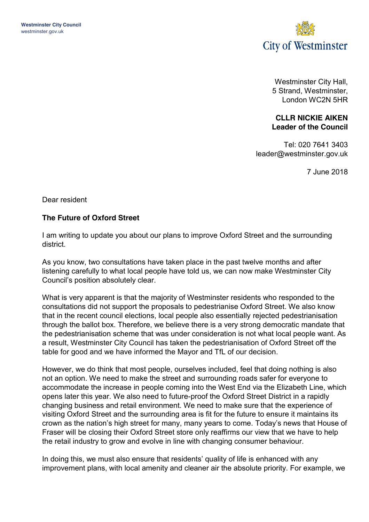

Westminster City Hall, 5 Strand, Westminster, London WC2N 5HR

## **CLLR NICKIE AIKEN Leader of the Council**

Tel: 020 7641 3403 leader@westminster.gov.uk

7 June 2018

Dear resident

## **The Future of Oxford Street**

I am writing to update you about our plans to improve Oxford Street and the surrounding district.

As you know, two consultations have taken place in the past twelve months and after listening carefully to what local people have told us, we can now make Westminster City Council's position absolutely clear.

What is very apparent is that the majority of Westminster residents who responded to the consultations did not support the proposals to pedestrianise Oxford Street. We also know that in the recent council elections, local people also essentially rejected pedestrianisation through the ballot box. Therefore, we believe there is a very strong democratic mandate that the pedestrianisation scheme that was under consideration is not what local people want. As a result, Westminster City Council has taken the pedestrianisation of Oxford Street off the table for good and we have informed the Mayor and TfL of our decision.

However, we do think that most people, ourselves included, feel that doing nothing is also not an option. We need to make the street and surrounding roads safer for everyone to accommodate the increase in people coming into the West End via the Elizabeth Line, which opens later this year. We also need to future-proof the Oxford Street District in a rapidly changing business and retail environment. We need to make sure that the experience of visiting Oxford Street and the surrounding area is fit for the future to ensure it maintains its crown as the nation's high street for many, many years to come. Today's news that House of Fraser will be closing their Oxford Street store only reaffirms our view that we have to help the retail industry to grow and evolve in line with changing consumer behaviour.

In doing this, we must also ensure that residents' quality of life is enhanced with any improvement plans, with local amenity and cleaner air the absolute priority. For example, we